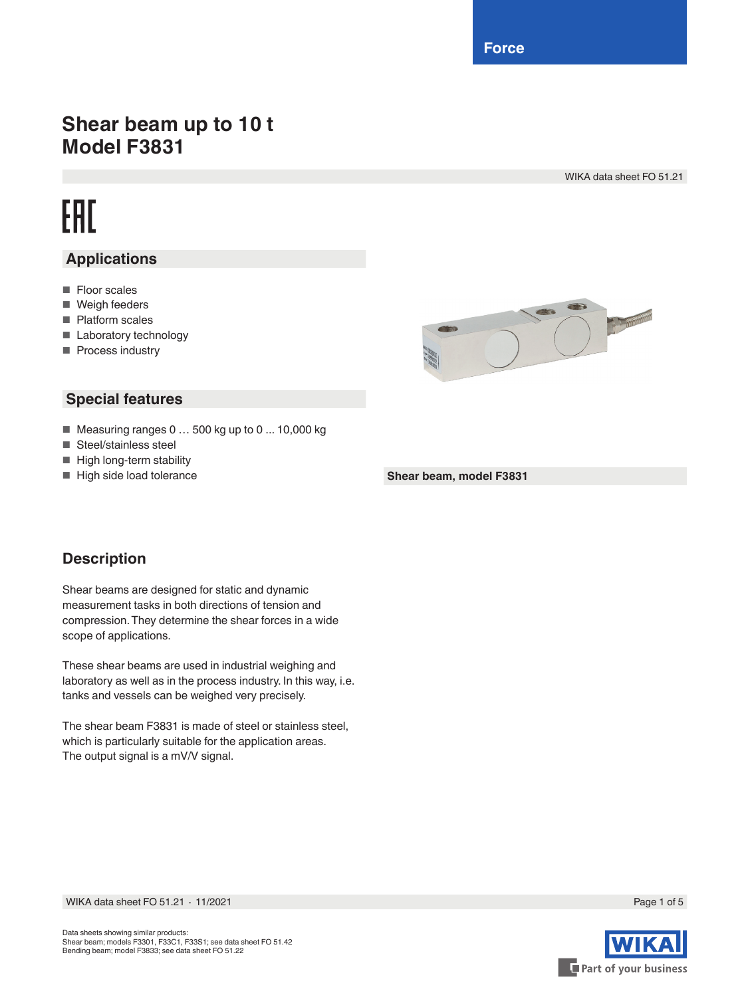**Force**

## **Shear beam up to 10 t Model F3831**

WIKA data sheet FO 51.21

# EAC

### **Applications**

- Floor scales
- Weigh feeders
- Platform scales
- Laboratory technology
- Process industry



#### **Special features**

- Measuring ranges 0 ... 500 kg up to 0 ... 10,000 kg
- Steel/stainless steel
- High long-term stability
- High side load tolerance

**Shear beam, model F3831**

#### **Description**

Shear beams are designed for static and dynamic measurement tasks in both directions of tension and compression. They determine the shear forces in a wide scope of applications.

These shear beams are used in industrial weighing and laboratory as well as in the process industry. In this way, i.e. tanks and vessels can be weighed very precisely.

The shear beam F3831 is made of steel or stainless steel, which is particularly suitable for the application areas. The output signal is a mV/V signal.



WIKA data sheet FO 51.21 ⋅ 11/2021 Page 1 of 5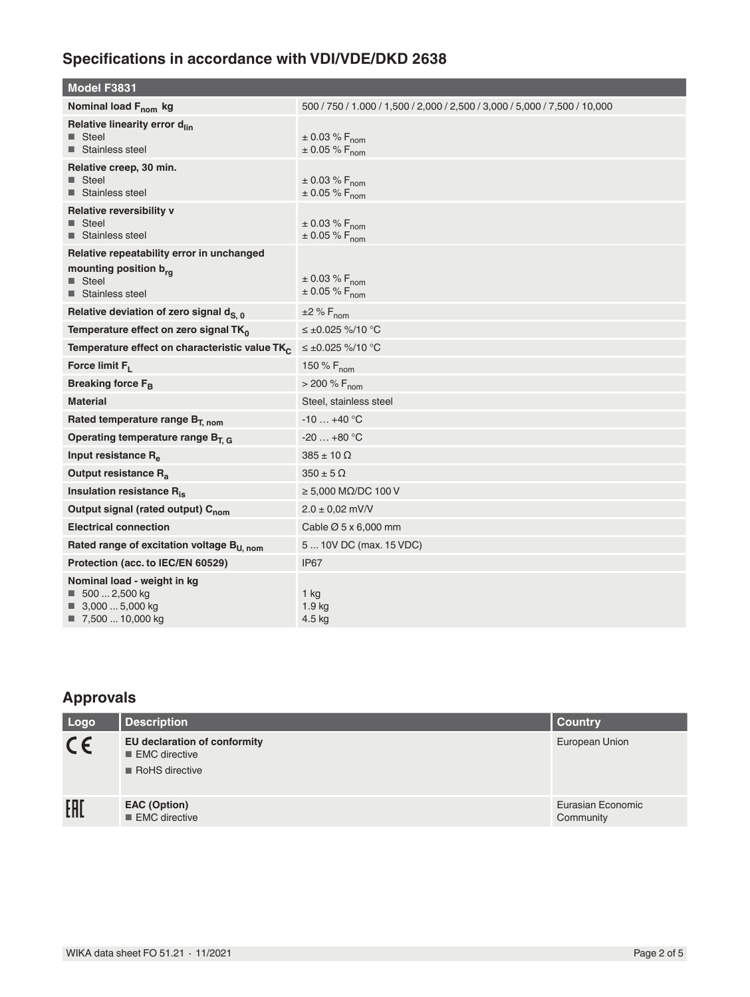## **Specifications in accordance with VDI/VDE/DKD 2638**

| Model F3831                                                                                                         |                                                                            |
|---------------------------------------------------------------------------------------------------------------------|----------------------------------------------------------------------------|
| Nominal load F <sub>nom</sub> kg                                                                                    | 500 / 750 / 1.000 / 1.500 / 2.000 / 2.500 / 3.000 / 5.000 / 7.500 / 10.000 |
| Relative linearity error d <sub>lin</sub><br>■ Steel<br>■ Stainless steel                                           | $\pm 0.03 \% F_{\text{nom}}$<br>$\pm 0.05 \% F_{nom}$                      |
| Relative creep, 30 min.<br>■ Steel<br>■ Stainless steel                                                             | $\pm 0.03 \% F_{nom}$<br>$\pm$ 0.05 % $F_{nom}$                            |
| Relative reversibility v<br>$\blacksquare$ Steel<br>■ Stainless steel                                               | $\pm$ 0.03 % F <sub>nom</sub><br>$\pm 0.05 \% F_{\text{nom}}$              |
| Relative repeatability error in unchanged<br>mounting position b <sub>ra</sub><br>■ Steel<br>■ Stainless steel      | $\pm 0.03 \%$ F <sub>nom</sub><br>$\pm 0.05 \% F_{\text{nom}}$             |
| Relative deviation of zero signal d <sub>S. 0</sub>                                                                 | $\pm 2\%$ F <sub>nom</sub>                                                 |
| Temperature effect on zero signal TK <sub>0</sub>                                                                   | ≤±0.025 %/10 °C                                                            |
| Temperature effect on characteristic value TK <sub>C</sub>                                                          | ≤±0.025 %/10 °C                                                            |
| Force limit $F_1$                                                                                                   | 150 % $F_{\text{nom}}$                                                     |
| Breaking force $F_B$                                                                                                | $>$ 200 % F <sub>nom</sub>                                                 |
| <b>Material</b>                                                                                                     | Steel, stainless steel                                                     |
| Rated temperature range B <sub>T, nom</sub>                                                                         | $-10+40$ °C                                                                |
| Operating temperature range $B_{T,G}$                                                                               | $-20+80$ °C                                                                |
| Input resistance $R_{\alpha}$                                                                                       | $385 \pm 10 \Omega$                                                        |
| Output resistance R <sub>a</sub>                                                                                    | $350 \pm 5 \Omega$                                                         |
| Insulation resistance R <sub>is</sub>                                                                               | $\geq$ 5,000 MQ/DC 100 V                                                   |
| Output signal (rated output) C <sub>nom</sub>                                                                       | $2.0 \pm 0.02$ mV/V                                                        |
| <b>Electrical connection</b>                                                                                        | Cable $\varnothing$ 5 x 6,000 mm                                           |
| Rated range of excitation voltage B <sub>U. nom</sub>                                                               | 5  10V DC (max. 15 VDC)                                                    |
| Protection (acc. to IEC/EN 60529)                                                                                   | IP67                                                                       |
| Nominal load - weight in kg<br>$\blacksquare$ 500  2,500 kg<br>$\blacksquare$ 3,000  5,000 kg<br>■ 7,500  10,000 kg | 1 kg<br>1.9 kg<br>4.5 kg                                                   |

#### **Approvals**

| Logo    | <b>Description</b>                                                                    | <b>Country</b>                 |
|---------|---------------------------------------------------------------------------------------|--------------------------------|
| $C \in$ | <b>EU declaration of conformity</b><br>$\blacksquare$ EMC directive<br>RoHS directive | European Union                 |
| EAL     | <b>EAC (Option)</b><br>$\blacksquare$ EMC directive                                   | Eurasian Economic<br>Community |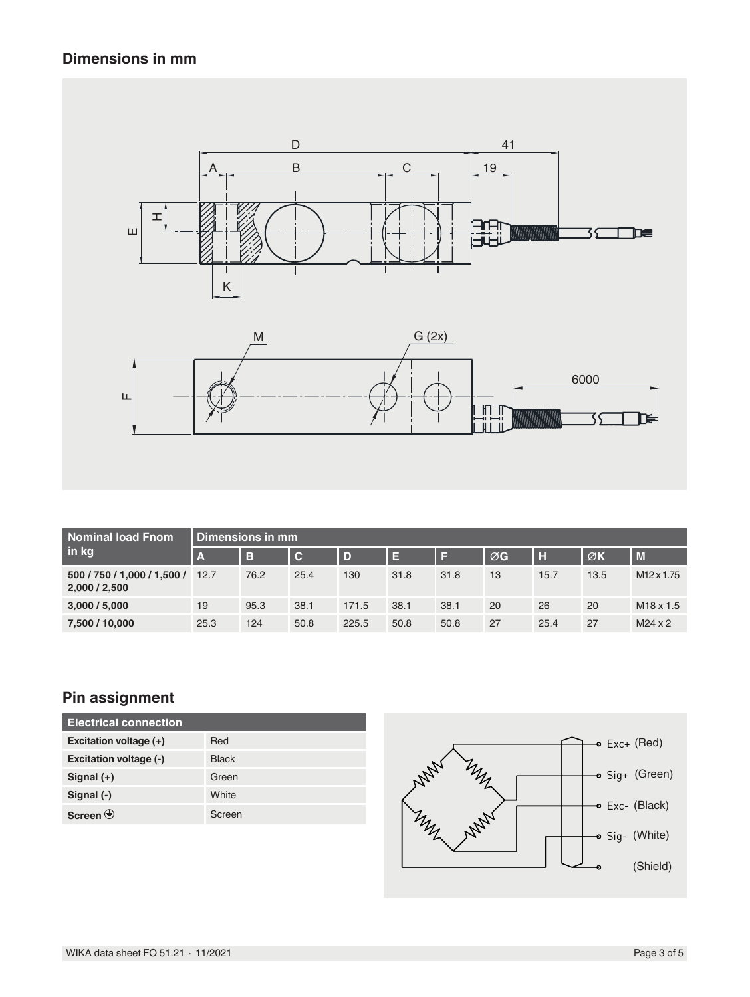#### **Dimensions in mm**



| <b>Nominal load Fnom</b><br>in kg            | Dimensions in mm |      |                |       |      |      |             |      |      |                        |  |  |
|----------------------------------------------|------------------|------|----------------|-------|------|------|-------------|------|------|------------------------|--|--|
|                                              | $\overline{A}$   | B    | $\overline{c}$ | D     | E    |      | $\oslash$ G | H    | ØK   | $\blacksquare$         |  |  |
| 500 / 750 / 1,000 / 1,500 /<br>2,000 / 2,500 | 12.7             | 76.2 | 25.4           | 130   | 31.8 | 31.8 | 13          | 15.7 | 13.5 | M <sub>12</sub> x 1.75 |  |  |
| 3,000 / 5,000                                | 19               | 95.3 | 38.1           | 171.5 | 38.1 | 38.1 | 20          | 26   | 20   | $M18 \times 1.5$       |  |  |
| 7,500 / 10,000                               | 25.3             | 124  | 50.8           | 225.5 | 50.8 | 50.8 | 27          | 25.4 | 27   | $M24 \times 2$         |  |  |

#### **Pin assignment**

| <b>Electrical connection</b>      |              |  |  |  |  |  |  |
|-----------------------------------|--------------|--|--|--|--|--|--|
| Excitation voltage (+)            | Red          |  |  |  |  |  |  |
| Excitation voltage (-)            | <b>Black</b> |  |  |  |  |  |  |
| Signal $(+)$                      | Green        |  |  |  |  |  |  |
| Signal (-)                        | White        |  |  |  |  |  |  |
| Screen $\left(\frac{1}{2}\right)$ | Screen       |  |  |  |  |  |  |

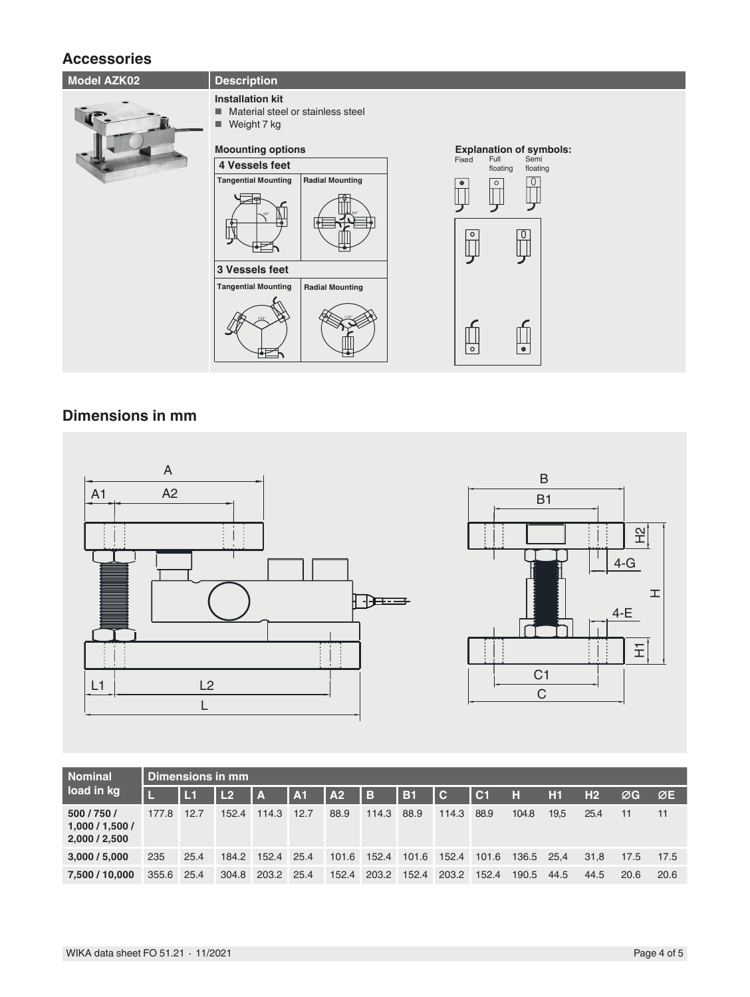#### **Accessories**

| <b>Model AZK02</b> | <b>Description</b>                                                                    |                                               |
|--------------------|---------------------------------------------------------------------------------------|-----------------------------------------------|
|                    | <b>Installation kit</b><br>Material steel or stainless steel<br>п<br>Weight 7 kg<br>ш |                                               |
|                    | <b>Moounting options</b>                                                              | <b>Explanation of symbols:</b>                |
|                    | 4 Vessels feet                                                                        | Full<br>Semi<br>Fixed<br>floating<br>floating |
|                    | <b>Radial Mounting</b><br><b>Tangential Mounting</b><br>$\mathbb{R}$                  | $\circ$<br>$\circ$                            |
|                    | 3 Vessels feet                                                                        |                                               |
|                    | <b>Tangential Mounting</b><br><b>Radial Mounting</b>                                  |                                               |
|                    |                                                                                       | $\circ$<br>$\bullet$                          |

#### **Dimensions in mm**





| <b>Nominal</b><br>load in kg                 | Dimensions in mm |      |           |            |      |                 |             |       |                         |        |            |      |                |      |      |
|----------------------------------------------|------------------|------|-----------|------------|------|-----------------|-------------|-------|-------------------------|--------|------------|------|----------------|------|------|
|                                              |                  | L1   | <b>L2</b> | l A        | A1   | $\overline{A2}$ | <u> в</u>   | IB1   | $\overline{\mathbf{C}}$ | $ $ C1 | H          | H1   | H <sub>2</sub> | ØG   | ØE   |
| 500 / 750 /<br>1,000/1,500/<br>2,000 / 2,500 | 177.8            | 12.7 | 152.4     | 114.3      | 12.7 | 88.9            | 114.3       | 88.9  | 114.3                   | 88.9   | 104.8      | 19.5 | 25.4           | 11   | 11   |
| 3,000 / 5,000                                | 235              | 25.4 | 184.2     | 152.4 25.4 |      | 101.6           | 152.4 101.6 |       | 152.4                   | 101.6  | 136.5 25.4 |      | 31.8           | 17.5 | 17.5 |
| 7.500 / 10.000                               | 355.6            | 25.4 | 304.8     | 203.2 25.4 |      | 152.4           | 203.2       | 152.4 | 203.2                   | 152.4  | 190.5      | 44.5 | 44.5           | 20.6 | 20.6 |